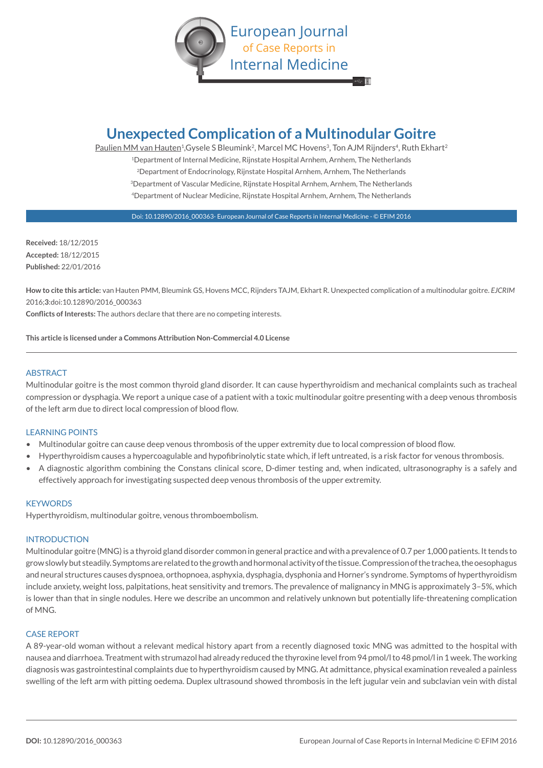

# **Unexpected Complication of a Multinodular Goitre**

Paulien MM van Hauten<sup>1</sup>, Gysele S Bleumink<sup>2</sup>, Marcel MC Hovens<sup>3</sup>, Ton AJM Rijnders<sup>4</sup>, Ruth Ekhart<sup>2</sup> 1Department of Internal Medicine, Rijnstate Hospital Arnhem, Arnhem, The Netherlands <sup>2</sup>Department of Endocrinology, Rijnstate Hospital Arnhem, Arnhem, The Netherlands 3Department of Vascular Medicine, Rijnstate Hospital Arnhem, Arnhem, The Netherlands 4Department of Nuclear Medicine, Rijnstate Hospital Arnhem, Arnhem, The Netherlands

Doi: 10.12890/2016\_000363- European Journal of Case Reports in Internal Medicine - © EFIM 2016

**Received:** 18/12/2015 **Accepted:** 18/12/2015 **Published:** 22/01/2016

**How to cite this article:** van Hauten PMM, Bleumink GS, Hovens MCC, Rijnders TAJM, Ekhart R. Unexpected complication of a multinodular goitre. *EJCRIM* 2016;**3**:doi:10.12890/2016\_000363

**Conflicts of Interests:** The authors declare that there are no competing interests.

**This article is licensed under a Commons Attribution Non-Commercial 4.0 License**

## ABSTRACT

Multinodular goitre is the most common thyroid gland disorder. It can cause hyperthyroidism and mechanical complaints such as tracheal compression or dysphagia. We report a unique case of a patient with a toxic multinodular goitre presenting with a deep venous thrombosis of the left arm due to direct local compression of blood flow.

# LEARNING POINTS

- Multinodular goitre can cause deep venous thrombosis of the upper extremity due to local compression of blood flow.
- Hyperthyroidism causes a hypercoagulable and hypofibrinolytic state which, if left untreated, is a risk factor for venous thrombosis.
- A diagnostic algorithm combining the Constans clinical score, D-dimer testing and, when indicated, ultrasonography is a safely and effectively approach for investigating suspected deep venous thrombosis of the upper extremity.

## **KEYWORDS**

Hyperthyroidism, multinodular goitre, venous thromboembolism.

## INTRODUCTION

Multinodular goitre (MNG) is a thyroid gland disorder common in general practice and with a prevalence of 0.7 per 1,000 patients. It tends to grow slowly but steadily. Symptoms are related to the growth and hormonal activity of the tissue. Compression of the trachea, the oesophagus and neural structures causes dyspnoea, orthopnoea, asphyxia, dysphagia, dysphonia and Horner's syndrome. Symptoms of hyperthyroidism include anxiety, weight loss, palpitations, heat sensitivity and tremors. The prevalence of malignancy in MNG is approximately 3–5%, which is lower than that in single nodules. Here we describe an uncommon and relatively unknown but potentially life-threatening complication of MNG.

## CASE REPORT

A 89-year-old woman without a relevant medical history apart from a recently diagnosed toxic MNG was admitted to the hospital with nausea and diarrhoea. Treatment with strumazol had already reduced the thyroxine level from 94 pmol/l to 48 pmol/l in 1 week. The working diagnosis was gastrointestinal complaints due to hyperthyroidism caused by MNG. At admittance, physical examination revealed a painless swelling of the left arm with pitting oedema. Duplex ultrasound showed thrombosis in the left jugular vein and subclavian vein with distal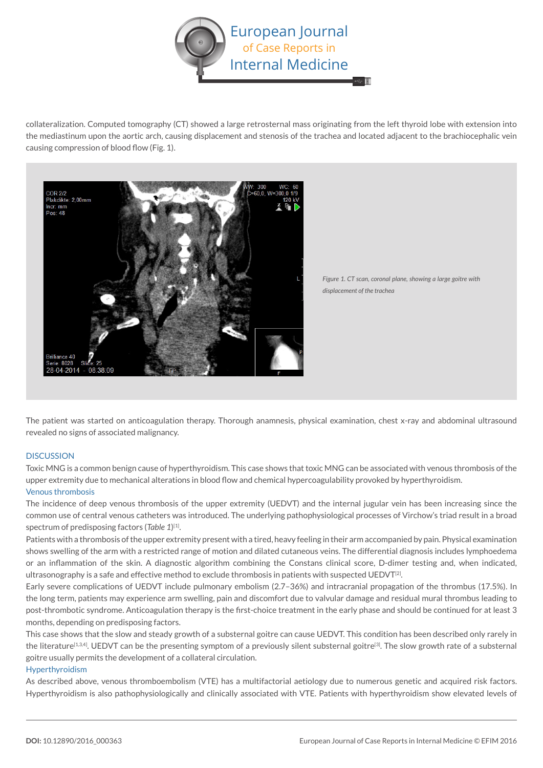

collateralization. Computed tomography (CT) showed a large retrosternal mass originating from the left thyroid lobe with extension into the mediastinum upon the aortic arch, causing displacement and stenosis of the trachea and located adjacent to the brachiocephalic vein causing compression of blood flow (Fig. 1).



*Figure 1. CT scan, coronal plane, showing a large goitre with displacement of the trachea*

The patient was started on anticoagulation therapy. Thorough anamnesis, physical examination, chest x-ray and abdominal ultrasound revealed no signs of associated malignancy.

## **DISCUSSION**

Toxic MNG is a common benign cause of hyperthyroidism. This case shows that toxic MNG can be associated with venous thrombosis of the upper extremity due to mechanical alterations in blood flow and chemical hypercoagulability provoked by hyperthyroidism. Venous thrombosis

The incidence of deep venous thrombosis of the upper extremity (UEDVT) and the internal jugular vein has been increasing since the common use of central venous catheters was introduced. The underlying pathophysiological processes of Virchow's triad result in a broad spectrum of predisposing factors (*Table 1*) [1].

Patients with a thrombosis of the upper extremity present with a tired, heavy feeling in their arm accompanied by pain. Physical examination shows swelling of the arm with a restricted range of motion and dilated cutaneous veins. The differential diagnosis includes lymphoedema or an inflammation of the skin. A diagnostic algorithm combining the Constans clinical score, D-dimer testing and, when indicated, ultrasonography is a safe and effective method to exclude thrombosis in patients with suspected UEDVT $^{[2]}$ .

Early severe complications of UEDVT include pulmonary embolism (2.7–36%) and intracranial propagation of the thrombus (17.5%). In the long term, patients may experience arm swelling, pain and discomfort due to valvular damage and residual mural thrombus leading to post-thrombotic syndrome. Anticoagulation therapy is the first-choice treatment in the early phase and should be continued for at least 3 months, depending on predisposing factors.

This case shows that the slow and steady growth of a substernal goitre can cause UEDVT. This condition has been described only rarely in the literature<sup>[1,3,4]</sup>. UEDVT can be the presenting symptom of a previously silent substernal goitre<sup>[3]</sup>. The slow growth rate of a substernal goitre usually permits the development of a collateral circulation.

## Hyperthyroidism

As described above, venous thromboembolism (VTE) has a multifactorial aetiology due to numerous genetic and acquired risk factors. Hyperthyroidism is also pathophysiologically and clinically associated with VTE. Patients with hyperthyroidism show elevated levels of